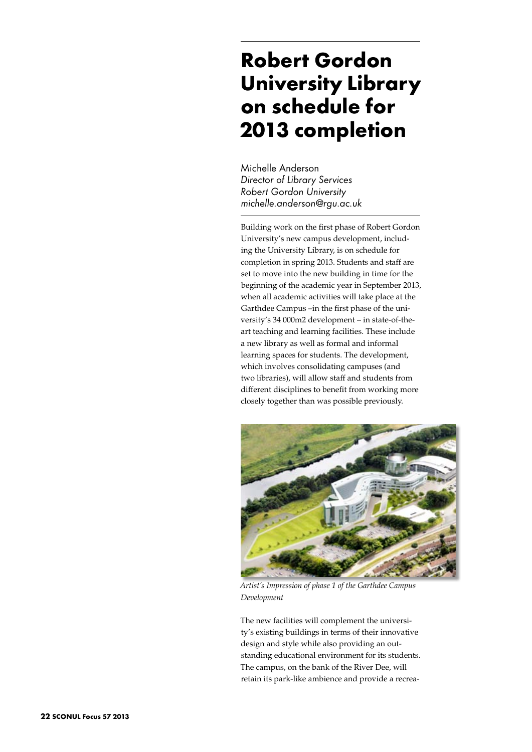## **Robert Gordon University Library on schedule for 2013 completion**

Michelle Anderson *Director of Library Services Robert Gordon University michelle.anderson@rgu.ac.uk*

Building work on the first phase of Robert Gordon University's new campus development, including the University Library, is on schedule for completion in spring 2013. Students and staff are set to move into the new building in time for the beginning of the academic year in September 2013, when all academic activities will take place at the Garthdee Campus –in the first phase of the university's 34 000m2 development – in state-of-theart teaching and learning facilities. These include a new library as well as formal and informal learning spaces for students. The development, which involves consolidating campuses (and two libraries), will allow staff and students from different disciplines to benefit from working more closely together than was possible previously.



*Artist's Impression of phase 1 of the Garthdee Campus Development*

The new facilities will complement the university's existing buildings in terms of their innovative design and style while also providing an outstanding educational environment for its students. The campus, on the bank of the River Dee, will retain its park-like ambience and provide a recrea